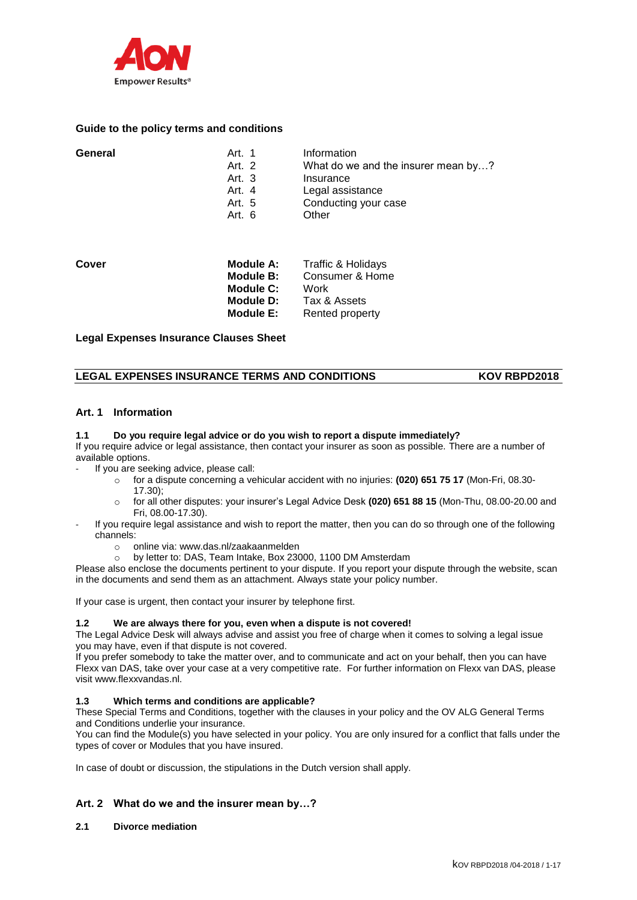

# **Guide to the policy terms and conditions**

| General | Art. 1   | Information                         |
|---------|----------|-------------------------------------|
|         | Art. 2   | What do we and the insurer mean by? |
|         | Art. $3$ | Insurance                           |
|         | Art. 4   | Legal assistance                    |
|         | Art. 5   | Conducting your case                |
|         | Art. $6$ | Other                               |
|         |          |                                     |

| Cover | Module A: | Traffic & Holidays |
|-------|-----------|--------------------|
|       | Module B: | Consumer & Home    |
|       | Module C: | Work               |
|       | Module D: | Tax & Assets       |
|       | Module E: | Rented property    |

**Legal Expenses Insurance Clauses Sheet**

# LEGAL EXPENSES INSURANCE TERMS AND CONDITIONS **KOV RBPD2018**

# **Art. 1 Information**

#### **1.1 Do you require legal advice or do you wish to report a dispute immediately?**

If you require advice or legal assistance, then contact your insurer as soon as possible. There are a number of available options.

If you are seeking advice, please call:

- o for a dispute concerning a vehicular accident with no injuries: **(020) 651 75 17** (Mon-Fri, 08.30- 17.30);
- o for all other disputes: your insurer's Legal Advice Desk **(020) 651 88 15** (Mon-Thu, 08.00-20.00 and Fri, 08.00-17.30).
- If you require legal assistance and wish to report the matter, then you can do so through one of the following channels:
	- o online via: www.das.nl/zaakaanmelden
	- o by letter to: DAS, Team Intake, Box 23000, 1100 DM Amsterdam

Please also enclose the documents pertinent to your dispute. If you report your dispute through the website, scan in the documents and send them as an attachment. Always state your policy number.

If your case is urgent, then contact your insurer by telephone first.

# **1.2 We are always there for you, even when a dispute is not covered!**

The Legal Advice Desk will always advise and assist you free of charge when it comes to solving a legal issue you may have, even if that dispute is not covered.

If you prefer somebody to take the matter over, and to communicate and act on your behalf, then you can have Flexx van DAS, take over your case at a very competitive rate. For further information on Flexx van DAS, please visit www.flexxvandas.nl.

#### **1.3 Which terms and conditions are applicable?**

These Special Terms and Conditions, together with the clauses in your policy and the OV ALG General Terms and Conditions underlie your insurance.

You can find the Module(s) you have selected in your policy. You are only insured for a conflict that falls under the types of cover or Modules that you have insured.

In case of doubt or discussion, the stipulations in the Dutch version shall apply.

# **Art. 2 What do we and the insurer mean by…?**

# **2.1 Divorce mediation**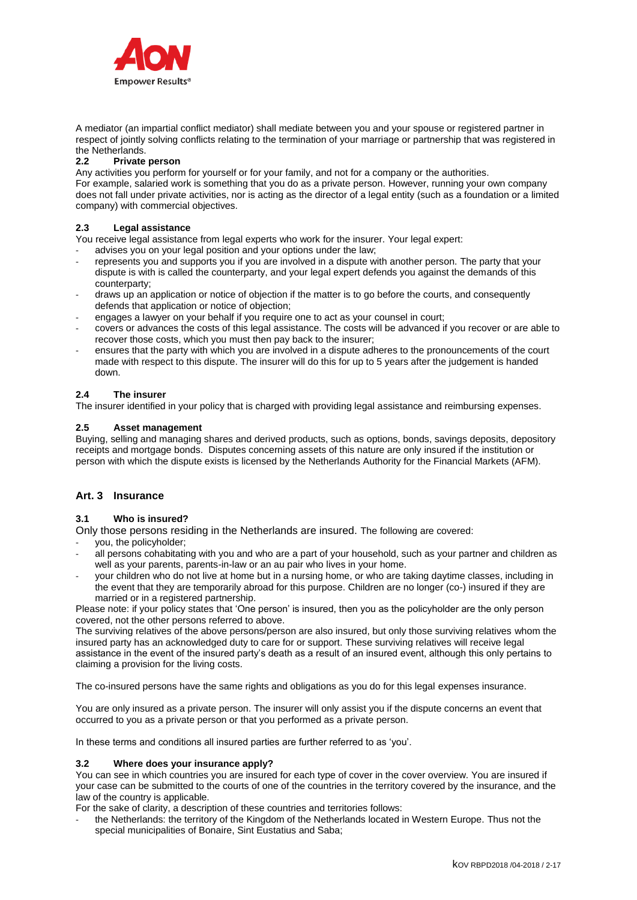

A mediator (an impartial conflict mediator) shall mediate between you and your spouse or registered partner in respect of jointly solving conflicts relating to the termination of your marriage or partnership that was registered in the Netherlands.

### **2.2 Private person**

Any activities you perform for yourself or for your family, and not for a company or the authorities.

For example, salaried work is something that you do as a private person. However, running your own company does not fall under private activities, nor is acting as the director of a legal entity (such as a foundation or a limited company) with commercial objectives.

### **2.3 Legal assistance**

You receive legal assistance from legal experts who work for the insurer. Your legal expert:

- advises you on your legal position and your options under the law;
- represents you and supports you if you are involved in a dispute with another person. The party that your dispute is with is called the counterparty, and your legal expert defends you against the demands of this counterparty;
- draws up an application or notice of objection if the matter is to go before the courts, and consequently defends that application or notice of objection;
- engages a lawyer on your behalf if you require one to act as your counsel in court;
- covers or advances the costs of this legal assistance. The costs will be advanced if you recover or are able to recover those costs, which you must then pay back to the insurer;
- ensures that the party with which you are involved in a dispute adheres to the pronouncements of the court made with respect to this dispute. The insurer will do this for up to 5 years after the judgement is handed down.

#### **2.4 The insurer**

The insurer identified in your policy that is charged with providing legal assistance and reimbursing expenses.

#### **2.5 Asset management**

Buying, selling and managing shares and derived products, such as options, bonds, savings deposits, depository receipts and mortgage bonds. Disputes concerning assets of this nature are only insured if the institution or person with which the dispute exists is licensed by the Netherlands Authority for the Financial Markets (AFM).

# **Art. 3 Insurance**

### **3.1 Who is insured?**

Only those persons residing in the Netherlands are insured. The following are covered:

- you, the policyholder;
- all persons cohabitating with you and who are a part of your household, such as your partner and children as well as your parents, parents-in-law or an au pair who lives in your home.
- your children who do not live at home but in a nursing home, or who are taking daytime classes, including in the event that they are temporarily abroad for this purpose. Children are no longer (co-) insured if they are married or in a registered partnership.

Please note: if your policy states that 'One person' is insured, then you as the policyholder are the only person covered, not the other persons referred to above.

The surviving relatives of the above persons/person are also insured, but only those surviving relatives whom the insured party has an acknowledged duty to care for or support. These surviving relatives will receive legal assistance in the event of the insured party's death as a result of an insured event, although this only pertains to claiming a provision for the living costs.

The co-insured persons have the same rights and obligations as you do for this legal expenses insurance.

You are only insured as a private person. The insurer will only assist you if the dispute concerns an event that occurred to you as a private person or that you performed as a private person.

In these terms and conditions all insured parties are further referred to as 'you'.

#### **3.2 Where does your insurance apply?**

You can see in which countries you are insured for each type of cover in the cover overview. You are insured if your case can be submitted to the courts of one of the countries in the territory covered by the insurance, and the law of the country is applicable.

For the sake of clarity, a description of these countries and territories follows:

the Netherlands: the territory of the Kingdom of the Netherlands located in Western Europe. Thus not the special municipalities of Bonaire, Sint Eustatius and Saba;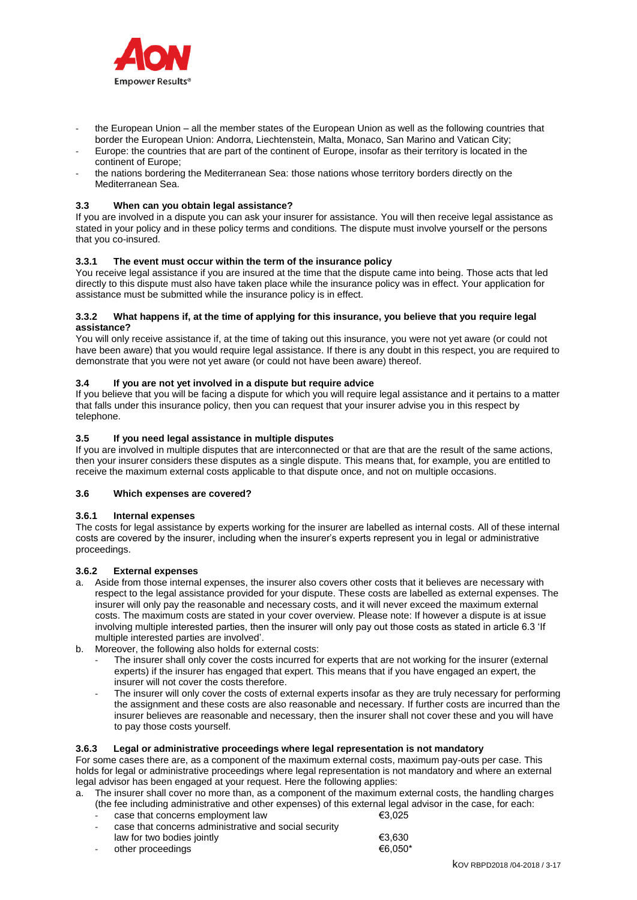

- the European Union all the member states of the European Union as well as the following countries that border the European Union: Andorra, Liechtenstein, Malta, Monaco, San Marino and Vatican City;
- Europe: the countries that are part of the continent of Europe, insofar as their territory is located in the continent of Europe;
- the nations bordering the Mediterranean Sea: those nations whose territory borders directly on the Mediterranean Sea.

### **3.3 When can you obtain legal assistance?**

If you are involved in a dispute you can ask your insurer for assistance. You will then receive legal assistance as stated in your policy and in these policy terms and conditions. The dispute must involve yourself or the persons that you co-insured.

### **3.3.1 The event must occur within the term of the insurance policy**

You receive legal assistance if you are insured at the time that the dispute came into being. Those acts that led directly to this dispute must also have taken place while the insurance policy was in effect. Your application for assistance must be submitted while the insurance policy is in effect.

#### **3.3.2 What happens if, at the time of applying for this insurance, you believe that you require legal assistance?**

You will only receive assistance if, at the time of taking out this insurance, you were not yet aware (or could not have been aware) that you would require legal assistance. If there is any doubt in this respect, you are required to demonstrate that you were not yet aware (or could not have been aware) thereof.

### **3.4 If you are not yet involved in a dispute but require advice**

If you believe that you will be facing a dispute for which you will require legal assistance and it pertains to a matter that falls under this insurance policy, then you can request that your insurer advise you in this respect by telephone.

## **3.5 If you need legal assistance in multiple disputes**

If you are involved in multiple disputes that are interconnected or that are that are the result of the same actions, then your insurer considers these disputes as a single dispute. This means that, for example, you are entitled to receive the maximum external costs applicable to that dispute once, and not on multiple occasions.

## **3.6 Which expenses are covered?**

#### **3.6.1 Internal expenses**

The costs for legal assistance by experts working for the insurer are labelled as internal costs. All of these internal costs are covered by the insurer, including when the insurer's experts represent you in legal or administrative proceedings.

# **3.6.2 External expenses**

- a. Aside from those internal expenses, the insurer also covers other costs that it believes are necessary with respect to the legal assistance provided for your dispute. These costs are labelled as external expenses. The insurer will only pay the reasonable and necessary costs, and it will never exceed the maximum external costs. The maximum costs are stated in your cover overview. Please note: If however a dispute is at issue involving multiple interested parties, then the insurer will only pay out those costs as stated in article 6.3 'If multiple interested parties are involved'.
- b. Moreover, the following also holds for external costs:
	- The insurer shall only cover the costs incurred for experts that are not working for the insurer (external experts) if the insurer has engaged that expert. This means that if you have engaged an expert, the insurer will not cover the costs therefore.
	- The insurer will only cover the costs of external experts insofar as they are truly necessary for performing the assignment and these costs are also reasonable and necessary. If further costs are incurred than the insurer believes are reasonable and necessary, then the insurer shall not cover these and you will have to pay those costs yourself.

# **3.6.3 Legal or administrative proceedings where legal representation is not mandatory**

For some cases there are, as a component of the maximum external costs, maximum pay-outs per case. This holds for legal or administrative proceedings where legal representation is not mandatory and where an external legal advisor has been engaged at your request. Here the following applies:

a. The insurer shall cover no more than, as a component of the maximum external costs, the handling charges (the fee including administrative and other expenses) of this external legal advisor in the case, for each:

| case that concerns administrative and social security |        |
|-------------------------------------------------------|--------|
| case that concerns employment law                     | €3.025 |

| law for two bodies jointly | €3.630  |
|----------------------------|---------|
| other proceedings          | €6.050* |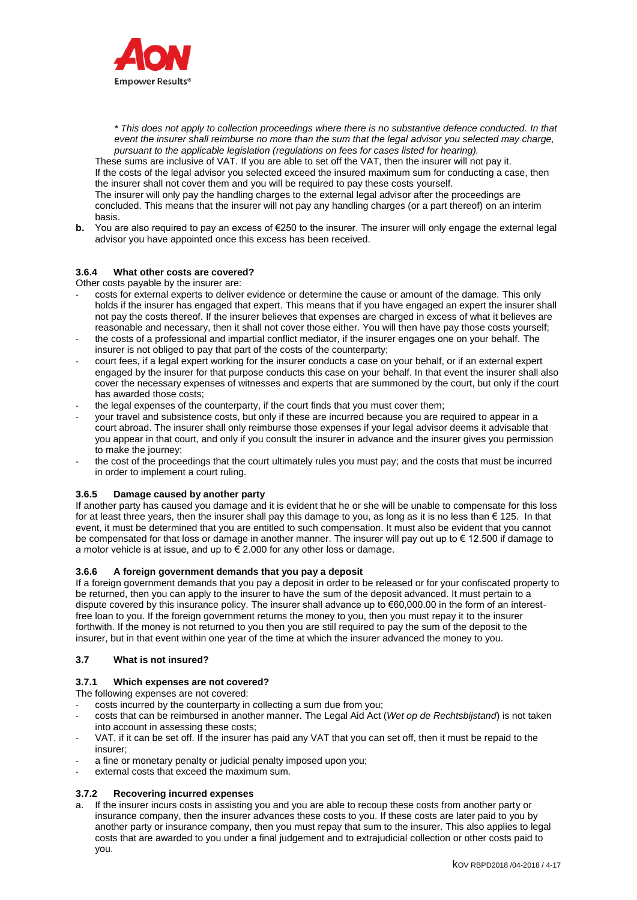

*\* This does not apply to collection proceedings where there is no substantive defence conducted. In that event the insurer shall reimburse no more than the sum that the legal advisor you selected may charge, pursuant to the applicable legislation (regulations on fees for cases listed for hearing).*

These sums are inclusive of VAT. If you are able to set off the VAT, then the insurer will not pay it. If the costs of the legal advisor you selected exceed the insured maximum sum for conducting a case, then the insurer shall not cover them and you will be required to pay these costs yourself. The insurer will only pay the handling charges to the external legal advisor after the proceedings are concluded. This means that the insurer will not pay any handling charges (or a part thereof) on an interim basis.

**b.** You are also required to pay an excess of €250 to the insurer. The insurer will only engage the external legal advisor you have appointed once this excess has been received.

# **3.6.4 What other costs are covered?**

Other costs payable by the insurer are:

- costs for external experts to deliver evidence or determine the cause or amount of the damage. This only holds if the insurer has engaged that expert. This means that if you have engaged an expert the insurer shall not pay the costs thereof. If the insurer believes that expenses are charged in excess of what it believes are reasonable and necessary, then it shall not cover those either. You will then have pay those costs yourself;
- the costs of a professional and impartial conflict mediator, if the insurer engages one on your behalf. The insurer is not obliged to pay that part of the costs of the counterparty;
- court fees, if a legal expert working for the insurer conducts a case on your behalf, or if an external expert engaged by the insurer for that purpose conducts this case on your behalf. In that event the insurer shall also cover the necessary expenses of witnesses and experts that are summoned by the court, but only if the court has awarded those costs;
- the legal expenses of the counterparty, if the court finds that you must cover them:
- your travel and subsistence costs, but only if these are incurred because you are required to appear in a court abroad. The insurer shall only reimburse those expenses if your legal advisor deems it advisable that you appear in that court, and only if you consult the insurer in advance and the insurer gives you permission to make the journey;
- the cost of the proceedings that the court ultimately rules you must pay; and the costs that must be incurred in order to implement a court ruling.

#### **3.6.5 Damage caused by another party**

If another party has caused you damage and it is evident that he or she will be unable to compensate for this loss for at least three years, then the insurer shall pay this damage to you, as long as it is no less than  $\epsilon$  125. In that event, it must be determined that you are entitled to such compensation. It must also be evident that you cannot be compensated for that loss or damage in another manner. The insurer will pay out up to € 12.500 if damage to a motor vehicle is at issue, and up to  $\widetilde{\epsilon}$  2.000 for any other loss or damage.

#### **3.6.6 A foreign government demands that you pay a deposit**

If a foreign government demands that you pay a deposit in order to be released or for your confiscated property to be returned, then you can apply to the insurer to have the sum of the deposit advanced. It must pertain to a dispute covered by this insurance policy. The insurer shall advance up to €60,000.00 in the form of an interestfree loan to you. If the foreign government returns the money to you, then you must repay it to the insurer forthwith. If the money is not returned to you then you are still required to pay the sum of the deposit to the insurer, but in that event within one year of the time at which the insurer advanced the money to you.

#### **3.7 What is not insured?**

#### **3.7.1 Which expenses are not covered?**

The following expenses are not covered:

- costs incurred by the counterparty in collecting a sum due from you;
- costs that can be reimbursed in another manner. The Legal Aid Act (*Wet op de Rechtsbijstand*) is not taken into account in assessing these costs;
- VAT, if it can be set off. If the insurer has paid any VAT that you can set off, then it must be repaid to the insurer;
- a fine or monetary penalty or judicial penalty imposed upon you;
- external costs that exceed the maximum sum.

### **3.7.2 Recovering incurred expenses**

a. If the insurer incurs costs in assisting you and you are able to recoup these costs from another party or insurance company, then the insurer advances these costs to you. If these costs are later paid to you by another party or insurance company, then you must repay that sum to the insurer. This also applies to legal costs that are awarded to you under a final judgement and to extrajudicial collection or other costs paid to you.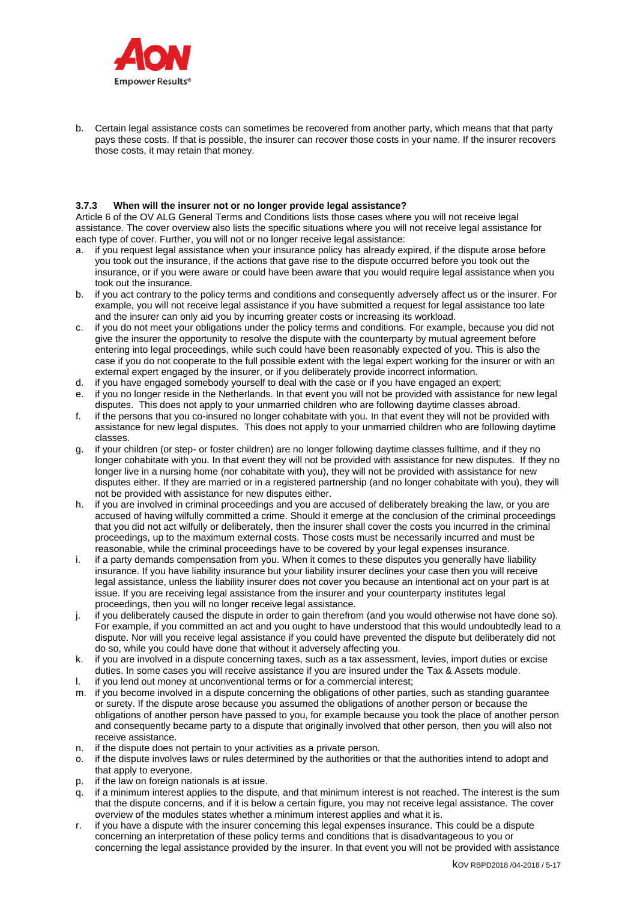

b. Certain legal assistance costs can sometimes be recovered from another party, which means that that party pays these costs. If that is possible, the insurer can recover those costs in your name. If the insurer recovers those costs, it may retain that money.

### **3.7.3 When will the insurer not or no longer provide legal assistance?**

Article 6 of the OV ALG General Terms and Conditions lists those cases where you will not receive legal assistance. The cover overview also lists the specific situations where you will not receive legal assistance for each type of cover. Further, you will not or no longer receive legal assistance:

- a. if you request legal assistance when your insurance policy has already expired, if the dispute arose before you took out the insurance, if the actions that gave rise to the dispute occurred before you took out the insurance, or if you were aware or could have been aware that you would require legal assistance when you took out the insurance.
- b. if you act contrary to the policy terms and conditions and consequently adversely affect us or the insurer. For example, you will not receive legal assistance if you have submitted a request for legal assistance too late and the insurer can only aid you by incurring greater costs or increasing its workload.
- c. if you do not meet your obligations under the policy terms and conditions. For example, because you did not give the insurer the opportunity to resolve the dispute with the counterparty by mutual agreement before entering into legal proceedings, while such could have been reasonably expected of you. This is also the case if you do not cooperate to the full possible extent with the legal expert working for the insurer or with an external expert engaged by the insurer, or if you deliberately provide incorrect information.
- d. if you have engaged somebody yourself to deal with the case or if you have engaged an expert;
- e. if you no longer reside in the Netherlands. In that event you will not be provided with assistance for new legal disputes. This does not apply to your unmarried children who are following daytime classes abroad.
- f. if the persons that you co-insured no longer cohabitate with you. In that event they will not be provided with assistance for new legal disputes. This does not apply to your unmarried children who are following daytime classes.
- g. if your children (or step- or foster children) are no longer following daytime classes fulltime, and if they no longer cohabitate with you. In that event they will not be provided with assistance for new disputes. If they no longer live in a nursing home (nor cohabitate with you), they will not be provided with assistance for new disputes either. If they are married or in a registered partnership (and no longer cohabitate with you), they will not be provided with assistance for new disputes either.
- h. if you are involved in criminal proceedings and you are accused of deliberately breaking the law, or you are accused of having wilfully committed a crime. Should it emerge at the conclusion of the criminal proceedings that you did not act wilfully or deliberately, then the insurer shall cover the costs you incurred in the criminal proceedings, up to the maximum external costs. Those costs must be necessarily incurred and must be reasonable, while the criminal proceedings have to be covered by your legal expenses insurance.
- i. if a party demands compensation from you. When it comes to these disputes you generally have liability insurance. If you have liability insurance but your liability insurer declines your case then you will receive legal assistance, unless the liability insurer does not cover you because an intentional act on your part is at issue. If you are receiving legal assistance from the insurer and your counterparty institutes legal proceedings, then you will no longer receive legal assistance.
- j. if you deliberately caused the dispute in order to gain therefrom (and you would otherwise not have done so). For example, if you committed an act and you ought to have understood that this would undoubtedly lead to a dispute. Nor will you receive legal assistance if you could have prevented the dispute but deliberately did not do so, while you could have done that without it adversely affecting you.
- k. if you are involved in a dispute concerning taxes, such as a tax assessment, levies, import duties or excise duties. In some cases you will receive assistance if you are insured under the Tax & Assets module.
- l. if you lend out money at unconventional terms or for a commercial interest;
- m. if you become involved in a dispute concerning the obligations of other parties, such as standing guarantee or surety. If the dispute arose because you assumed the obligations of another person or because the obligations of another person have passed to you, for example because you took the place of another person and consequently became party to a dispute that originally involved that other person, then you will also not receive assistance.
- n. if the dispute does not pertain to your activities as a private person.
- o. if the dispute involves laws or rules determined by the authorities or that the authorities intend to adopt and that apply to everyone.
- p. if the law on foreign nationals is at issue.
- q. if a minimum interest applies to the dispute, and that minimum interest is not reached. The interest is the sum that the dispute concerns, and if it is below a certain figure, you may not receive legal assistance. The cover overview of the modules states whether a minimum interest applies and what it is.
- r. if you have a dispute with the insurer concerning this legal expenses insurance. This could be a dispute concerning an interpretation of these policy terms and conditions that is disadvantageous to you or concerning the legal assistance provided by the insurer. In that event you will not be provided with assistance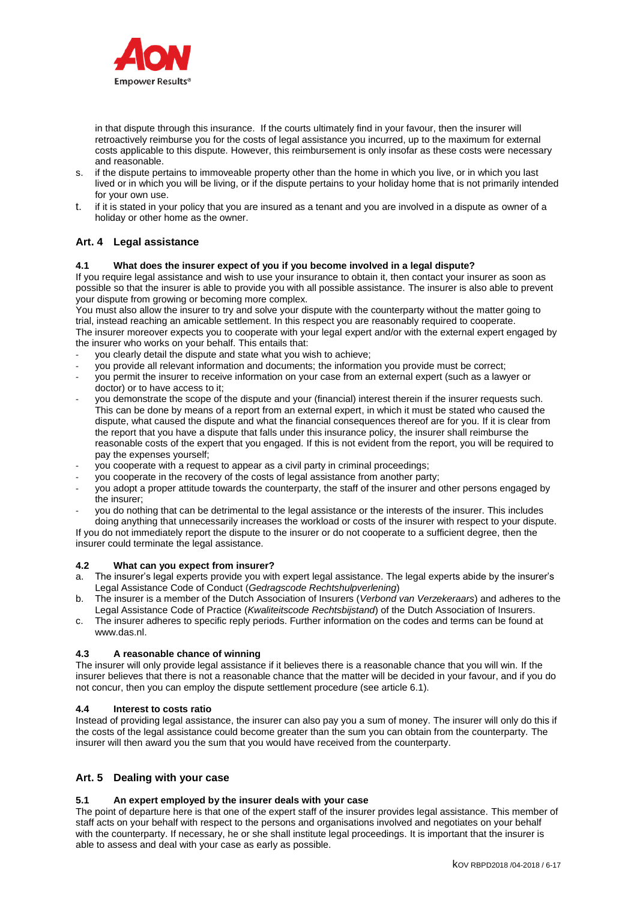

in that dispute through this insurance. If the courts ultimately find in your favour, then the insurer will retroactively reimburse you for the costs of legal assistance you incurred, up to the maximum for external costs applicable to this dispute. However, this reimbursement is only insofar as these costs were necessary and reasonable.

- s. if the dispute pertains to immoveable property other than the home in which you live, or in which you last lived or in which you will be living, or if the dispute pertains to your holiday home that is not primarily intended for your own use.
- t. if it is stated in your policy that you are insured as a tenant and you are involved in a dispute as owner of a holiday or other home as the owner.

# **Art. 4 Legal assistance**

### **4.1 What does the insurer expect of you if you become involved in a legal dispute?**

If you require legal assistance and wish to use your insurance to obtain it, then contact your insurer as soon as possible so that the insurer is able to provide you with all possible assistance. The insurer is also able to prevent your dispute from growing or becoming more complex.

You must also allow the insurer to try and solve your dispute with the counterparty without the matter going to trial, instead reaching an amicable settlement. In this respect you are reasonably required to cooperate. The insurer moreover expects you to cooperate with your legal expert and/or with the external expert engaged by the insurer who works on your behalf. This entails that:

- you clearly detail the dispute and state what you wish to achieve;
- you provide all relevant information and documents; the information you provide must be correct;
- you permit the insurer to receive information on your case from an external expert (such as a lawyer or doctor) or to have access to it;
- you demonstrate the scope of the dispute and your (financial) interest therein if the insurer requests such. This can be done by means of a report from an external expert, in which it must be stated who caused the dispute, what caused the dispute and what the financial consequences thereof are for you. If it is clear from the report that you have a dispute that falls under this insurance policy, the insurer shall reimburse the reasonable costs of the expert that you engaged. If this is not evident from the report, you will be required to pay the expenses yourself;
- you cooperate with a request to appear as a civil party in criminal proceedings:
- you cooperate in the recovery of the costs of legal assistance from another party;
- you adopt a proper attitude towards the counterparty, the staff of the insurer and other persons engaged by the insurer;
- you do nothing that can be detrimental to the legal assistance or the interests of the insurer. This includes doing anything that unnecessarily increases the workload or costs of the insurer with respect to your dispute.

If you do not immediately report the dispute to the insurer or do not cooperate to a sufficient degree, then the insurer could terminate the legal assistance.

#### **4.2 What can you expect from insurer?**

- a. The insurer's legal experts provide you with expert legal assistance. The legal experts abide by the insurer's Legal Assistance Code of Conduct (*Gedragscode Rechtshulpverlening*)
- b. The insurer is a member of the Dutch Association of Insurers (*Verbond van Verzekeraars*) and adheres to the Legal Assistance Code of Practice (*Kwaliteitscode Rechtsbijstand*) of the Dutch Association of Insurers.
- c. The insurer adheres to specific reply periods. Further information on the codes and terms can be found at www.das.nl.

#### **4.3 A reasonable chance of winning**

The insurer will only provide legal assistance if it believes there is a reasonable chance that you will win. If the insurer believes that there is not a reasonable chance that the matter will be decided in your favour, and if you do not concur, then you can employ the dispute settlement procedure (see article 6.1).

#### **4.4 Interest to costs ratio**

Instead of providing legal assistance, the insurer can also pay you a sum of money. The insurer will only do this if the costs of the legal assistance could become greater than the sum you can obtain from the counterparty. The insurer will then award you the sum that you would have received from the counterparty.

# **Art. 5 Dealing with your case**

#### **5.1 An expert employed by the insurer deals with your case**

The point of departure here is that one of the expert staff of the insurer provides legal assistance. This member of staff acts on your behalf with respect to the persons and organisations involved and negotiates on your behalf with the counterparty. If necessary, he or she shall institute legal proceedings. It is important that the insurer is able to assess and deal with your case as early as possible.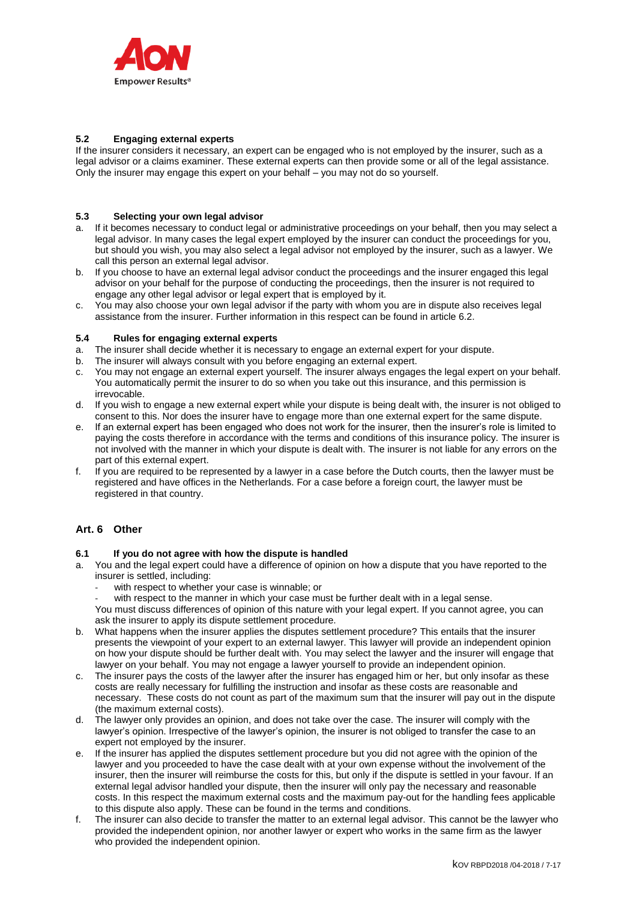

# **5.2 Engaging external experts**

If the insurer considers it necessary, an expert can be engaged who is not employed by the insurer, such as a legal advisor or a claims examiner. These external experts can then provide some or all of the legal assistance. Only the insurer may engage this expert on your behalf – you may not do so yourself.

# **5.3 Selecting your own legal advisor**

- a. If it becomes necessary to conduct legal or administrative proceedings on your behalf, then you may select a legal advisor. In many cases the legal expert employed by the insurer can conduct the proceedings for you, but should you wish, you may also select a legal advisor not employed by the insurer, such as a lawyer. We call this person an external legal advisor.
- b. If you choose to have an external legal advisor conduct the proceedings and the insurer engaged this legal advisor on your behalf for the purpose of conducting the proceedings, then the insurer is not required to engage any other legal advisor or legal expert that is employed by it.
- c. You may also choose your own legal advisor if the party with whom you are in dispute also receives legal assistance from the insurer. Further information in this respect can be found in article 6.2.

#### **5.4 Rules for engaging external experts**

- a. The insurer shall decide whether it is necessary to engage an external expert for your dispute.
- b. The insurer will always consult with you before engaging an external expert.
- c. You may not engage an external expert yourself. The insurer always engages the legal expert on your behalf. You automatically permit the insurer to do so when you take out this insurance, and this permission is irrevocable.
- d. If you wish to engage a new external expert while your dispute is being dealt with, the insurer is not obliged to consent to this. Nor does the insurer have to engage more than one external expert for the same dispute.
- e. If an external expert has been engaged who does not work for the insurer, then the insurer's role is limited to paying the costs therefore in accordance with the terms and conditions of this insurance policy. The insurer is not involved with the manner in which your dispute is dealt with. The insurer is not liable for any errors on the part of this external expert.
- If you are required to be represented by a lawyer in a case before the Dutch courts, then the lawyer must be registered and have offices in the Netherlands. For a case before a foreign court, the lawyer must be registered in that country.

# **Art. 6 Other**

# **6.1 If you do not agree with how the dispute is handled**

- a. You and the legal expert could have a difference of opinion on how a dispute that you have reported to the insurer is settled, including:
	- with respect to whether your case is winnable; or
	- with respect to the manner in which your case must be further dealt with in a legal sense.

You must discuss differences of opinion of this nature with your legal expert. If you cannot agree, you can ask the insurer to apply its dispute settlement procedure.

- b. What happens when the insurer applies the disputes settlement procedure? This entails that the insurer presents the viewpoint of your expert to an external lawyer. This lawyer will provide an independent opinion on how your dispute should be further dealt with. You may select the lawyer and the insurer will engage that lawyer on your behalf. You may not engage a lawyer yourself to provide an independent opinion.
- c. The insurer pays the costs of the lawyer after the insurer has engaged him or her, but only insofar as these costs are really necessary for fulfilling the instruction and insofar as these costs are reasonable and necessary. These costs do not count as part of the maximum sum that the insurer will pay out in the dispute (the maximum external costs).
- d. The lawyer only provides an opinion, and does not take over the case. The insurer will comply with the lawyer's opinion. Irrespective of the lawyer's opinion, the insurer is not obliged to transfer the case to an expert not employed by the insurer.
- e. If the insurer has applied the disputes settlement procedure but you did not agree with the opinion of the lawyer and you proceeded to have the case dealt with at your own expense without the involvement of the insurer, then the insurer will reimburse the costs for this, but only if the dispute is settled in your favour. If an external legal advisor handled your dispute, then the insurer will only pay the necessary and reasonable costs. In this respect the maximum external costs and the maximum pay-out for the handling fees applicable to this dispute also apply. These can be found in the terms and conditions.
- f. The insurer can also decide to transfer the matter to an external legal advisor. This cannot be the lawyer who provided the independent opinion, nor another lawyer or expert who works in the same firm as the lawyer who provided the independent opinion.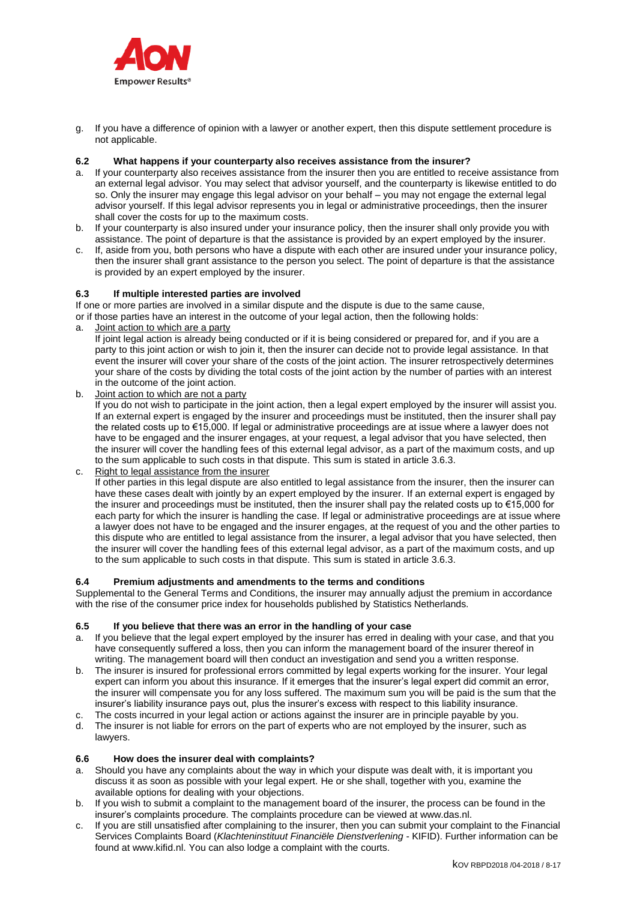

g. If you have a difference of opinion with a lawyer or another expert, then this dispute settlement procedure is not applicable.

### **6.2 What happens if your counterparty also receives assistance from the insurer?**

- a. If your counterparty also receives assistance from the insurer then you are entitled to receive assistance from an external legal advisor. You may select that advisor yourself, and the counterparty is likewise entitled to do so. Only the insurer may engage this legal advisor on your behalf – you may not engage the external legal advisor yourself. If this legal advisor represents you in legal or administrative proceedings, then the insurer shall cover the costs for up to the maximum costs.
- b. If your counterparty is also insured under your insurance policy, then the insurer shall only provide you with assistance. The point of departure is that the assistance is provided by an expert employed by the insurer.
- c. If, aside from you, both persons who have a dispute with each other are insured under your insurance policy, then the insurer shall grant assistance to the person you select. The point of departure is that the assistance is provided by an expert employed by the insurer.

### **6.3 If multiple interested parties are involved**

If one or more parties are involved in a similar dispute and the dispute is due to the same cause,

or if those parties have an interest in the outcome of your legal action, then the following holds:

a. Joint action to which are a party

If joint legal action is already being conducted or if it is being considered or prepared for, and if you are a party to this joint action or wish to join it, then the insurer can decide not to provide legal assistance. In that event the insurer will cover your share of the costs of the joint action. The insurer retrospectively determines your share of the costs by dividing the total costs of the joint action by the number of parties with an interest in the outcome of the joint action.

b. Joint action to which are not a party

If you do not wish to participate in the joint action, then a legal expert employed by the insurer will assist you. If an external expert is engaged by the insurer and proceedings must be instituted, then the insurer shall pay the related costs up to €15,000. If legal or administrative proceedings are at issue where a lawyer does not have to be engaged and the insurer engages, at your request, a legal advisor that you have selected, then the insurer will cover the handling fees of this external legal advisor, as a part of the maximum costs, and up to the sum applicable to such costs in that dispute. This sum is stated in article 3.6.3.

c. Right to legal assistance from the insurer If other parties in this legal dispute are also entitled to legal assistance from the insurer, then the insurer can have these cases dealt with jointly by an expert employed by the insurer. If an external expert is engaged by the insurer and proceedings must be instituted, then the insurer shall pay the related costs up to €15,000 for each party for which the insurer is handling the case. If legal or administrative proceedings are at issue where a lawyer does not have to be engaged and the insurer engages, at the request of you and the other parties to this dispute who are entitled to legal assistance from the insurer, a legal advisor that you have selected, then the insurer will cover the handling fees of this external legal advisor, as a part of the maximum costs, and up to the sum applicable to such costs in that dispute. This sum is stated in article 3.6.3.

#### **6.4 Premium adjustments and amendments to the terms and conditions**

Supplemental to the General Terms and Conditions, the insurer may annually adjust the premium in accordance with the rise of the consumer price index for households published by Statistics Netherlands.

#### **6.5 If you believe that there was an error in the handling of your case**

- a. If you believe that the legal expert employed by the insurer has erred in dealing with your case, and that you have consequently suffered a loss, then you can inform the management board of the insurer thereof in writing. The management board will then conduct an investigation and send you a written response.
- b. The insurer is insured for professional errors committed by legal experts working for the insurer. Your legal expert can inform you about this insurance. If it emerges that the insurer's legal expert did commit an error, the insurer will compensate you for any loss suffered. The maximum sum you will be paid is the sum that the insurer's liability insurance pays out, plus the insurer's excess with respect to this liability insurance.
- c. The costs incurred in your legal action or actions against the insurer are in principle payable by you.
- d. The insurer is not liable for errors on the part of experts who are not employed by the insurer, such as lawyers.

#### **6.6 How does the insurer deal with complaints?**

- a. Should you have any complaints about the way in which your dispute was dealt with, it is important you discuss it as soon as possible with your legal expert. He or she shall, together with you, examine the available options for dealing with your objections.
- b. If you wish to submit a complaint to the management board of the insurer, the process can be found in the insurer's complaints procedure. The complaints procedure can be viewed at www.das.nl.
- c. If you are still unsatisfied after complaining to the insurer, then you can submit your complaint to the Financial Services Complaints Board (*Klachteninstituut Financiële Dienstverlening* - KIFID). Further information can be found at www.kifid.nl. You can also lodge a complaint with the courts.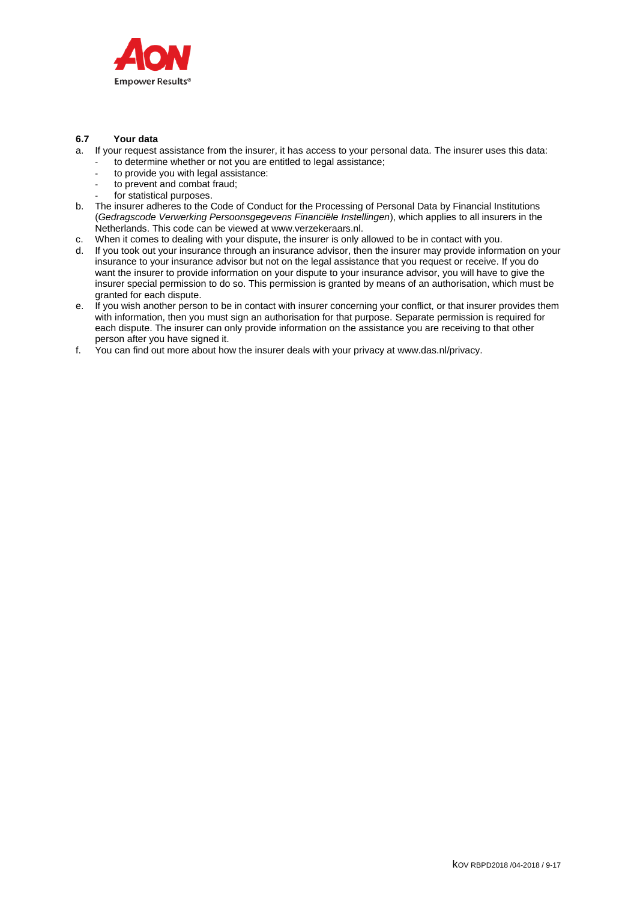

# **6.7 Your data**

- a. If your request assistance from the insurer, it has access to your personal data. The insurer uses this data:
	- to determine whether or not you are entitled to legal assistance;
		- to provide you with legal assistance: to prevent and combat fraud:
		- for statistical purposes.
- b. The insurer adheres to the Code of Conduct for the Processing of Personal Data by Financial Institutions (*Gedragscode Verwerking Persoonsgegevens Financiële Instellingen*), which applies to all insurers in the
- Netherlands. This code can be viewed at www.verzekeraars.nl.
- c. When it comes to dealing with your dispute, the insurer is only allowed to be in contact with you.
- d. If you took out your insurance through an insurance advisor, then the insurer may provide information on your insurance to your insurance advisor but not on the legal assistance that you request or receive. If you do want the insurer to provide information on your dispute to your insurance advisor, you will have to give the insurer special permission to do so. This permission is granted by means of an authorisation, which must be granted for each dispute.
- e. If you wish another person to be in contact with insurer concerning your conflict, or that insurer provides them with information, then you must sign an authorisation for that purpose. Separate permission is required for each dispute. The insurer can only provide information on the assistance you are receiving to that other person after you have signed it.
- f. You can find out more about how the insurer deals with your privacy at www.das.nl/privacy.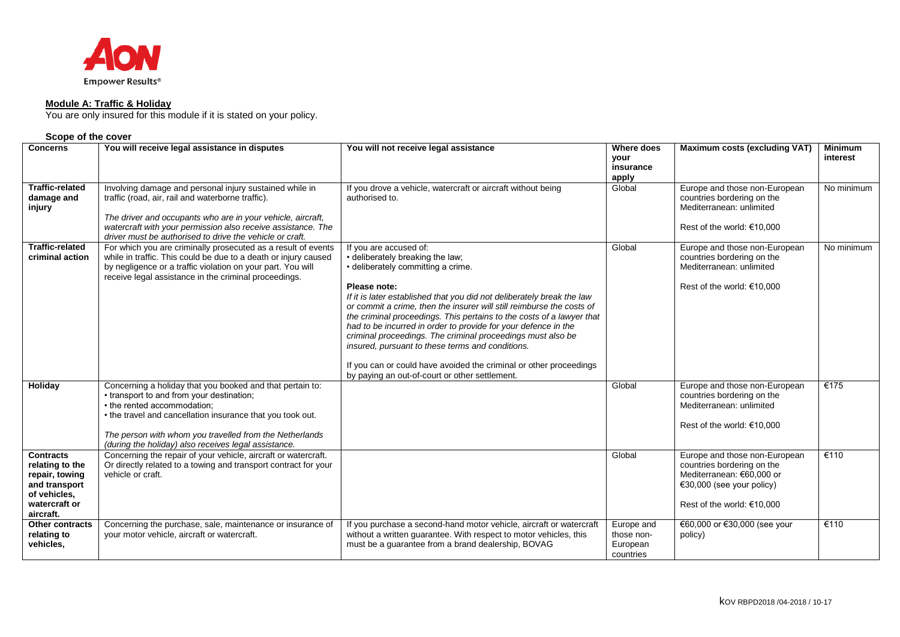

#### **Module A: Traffic & Holiday**

You are only insured for this module if it is stated on your policy.

| <b>Concerns</b>                                                                                                      | You will receive legal assistance in disputes                                                                                                                                                                                                                                                                          | You will not receive legal assistance                                                                                                                                                                                                                                                                                                                                                                                                                                                                                                                                                                                                                     | <b>Where does</b><br>vour<br>insurance<br>apply   | <b>Maximum costs (excluding VAT)</b>                                                                                                                     | <b>Minimum</b><br>interest |
|----------------------------------------------------------------------------------------------------------------------|------------------------------------------------------------------------------------------------------------------------------------------------------------------------------------------------------------------------------------------------------------------------------------------------------------------------|-----------------------------------------------------------------------------------------------------------------------------------------------------------------------------------------------------------------------------------------------------------------------------------------------------------------------------------------------------------------------------------------------------------------------------------------------------------------------------------------------------------------------------------------------------------------------------------------------------------------------------------------------------------|---------------------------------------------------|----------------------------------------------------------------------------------------------------------------------------------------------------------|----------------------------|
| <b>Traffic-related</b><br>damage and<br>injury                                                                       | Involving damage and personal injury sustained while in<br>traffic (road, air, rail and waterborne traffic).<br>The driver and occupants who are in your vehicle, aircraft,<br>watercraft with your permission also receive assistance. The<br>driver must be authorised to drive the vehicle or craft.                | If you drove a vehicle, watercraft or aircraft without being<br>authorised to.                                                                                                                                                                                                                                                                                                                                                                                                                                                                                                                                                                            | Global                                            | Europe and those non-European<br>countries bordering on the<br>Mediterranean: unlimited<br>Rest of the world: $€10,000$                                  | No minimum                 |
| <b>Traffic-related</b><br>criminal action                                                                            | For which you are criminally prosecuted as a result of events<br>while in traffic. This could be due to a death or injury caused<br>by negligence or a traffic violation on your part. You will<br>receive legal assistance in the criminal proceedings.                                                               | If you are accused of:<br>• deliberately breaking the law;<br>• deliberately committing a crime.<br>Please note:<br>If it is later established that you did not deliberately break the law<br>or commit a crime, then the insurer will still reimburse the costs of<br>the criminal proceedings. This pertains to the costs of a lawyer that<br>had to be incurred in order to provide for your defence in the<br>criminal proceedings. The criminal proceedings must also be<br>insured, pursuant to these terms and conditions.<br>If you can or could have avoided the criminal or other proceedings<br>by paying an out-of-court or other settlement. | Global                                            | Europe and those non-European<br>countries bordering on the<br>Mediterranean: unlimited<br>Rest of the world: $€10,000$                                  | No minimum                 |
| Holiday                                                                                                              | Concerning a holiday that you booked and that pertain to:<br>• transport to and from your destination;<br>• the rented accommodation;<br>• the travel and cancellation insurance that you took out.<br>The person with whom you travelled from the Netherlands<br>(during the holiday) also receives legal assistance. |                                                                                                                                                                                                                                                                                                                                                                                                                                                                                                                                                                                                                                                           | Global                                            | Europe and those non-European<br>countries bordering on the<br>Mediterranean: unlimited<br>Rest of the world: €10,000                                    | €175                       |
| <b>Contracts</b><br>relating to the<br>repair, towing<br>and transport<br>of vehicles,<br>watercraft or<br>aircraft. | Concerning the repair of your vehicle, aircraft or watercraft.<br>Or directly related to a towing and transport contract for your<br>vehicle or craft.                                                                                                                                                                 |                                                                                                                                                                                                                                                                                                                                                                                                                                                                                                                                                                                                                                                           | Global                                            | Europe and those non-European<br>countries bordering on the<br>Mediterranean: €60.000 or<br>$\in$ 30,000 (see your policy)<br>Rest of the world: €10,000 | €110                       |
| <b>Other contracts</b><br>relating to<br>vehicles,                                                                   | Concerning the purchase, sale, maintenance or insurance of<br>your motor vehicle, aircraft or watercraft.                                                                                                                                                                                                              | If you purchase a second-hand motor vehicle, aircraft or watercraft<br>without a written guarantee. With respect to motor vehicles, this<br>must be a guarantee from a brand dealership, BOVAG                                                                                                                                                                                                                                                                                                                                                                                                                                                            | Europe and<br>those non-<br>European<br>countries | €60,000 or €30,000 (see your<br>policy)                                                                                                                  | €110                       |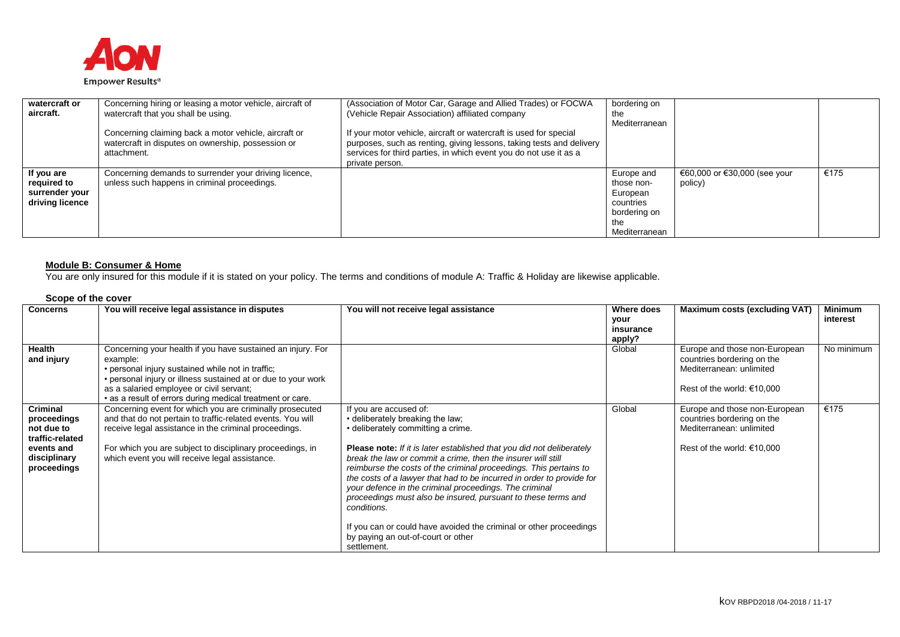

| watercraft or<br>aircraft.                                     | Concerning hiring or leasing a motor vehicle, aircraft of<br>watercraft that you shall be using.                           | (Association of Motor Car, Garage and Allied Trades) or FOCWA<br>(Vehicle Repair Association) affiliated company                                                                                                                  | bordering on<br>the<br>Mediterranean                                                      |                                         |      |
|----------------------------------------------------------------|----------------------------------------------------------------------------------------------------------------------------|-----------------------------------------------------------------------------------------------------------------------------------------------------------------------------------------------------------------------------------|-------------------------------------------------------------------------------------------|-----------------------------------------|------|
|                                                                | Concerning claiming back a motor vehicle, aircraft or<br>watercraft in disputes on ownership, possession or<br>attachment. | If your motor vehicle, aircraft or watercraft is used for special<br>purposes, such as renting, giving lessons, taking tests and delivery<br>services for third parties, in which event you do not use it as a<br>private person. |                                                                                           |                                         |      |
| If you are<br>required to<br>surrender your<br>driving licence | Concerning demands to surrender your driving licence,<br>unless such happens in criminal proceedings.                      |                                                                                                                                                                                                                                   | Europe and<br>those non-<br>European<br>countries<br>bordering on<br>the<br>Mediterranean | €60,000 or €30,000 (see your<br>policy) | €175 |

#### **Module B: Consumer & Home**

You are only insured for this module if it is stated on your policy. The terms and conditions of module A: Traffic & Holiday are likewise applicable.

| <b>Concerns</b>                                                                                              | You will receive legal assistance in disputes                                                                                                                                                                                                                                                          | You will not receive legal assistance                                                                                                                                                                                                                                                                                                                                                                                                                                                                                                                                                                                                                               | Where does<br>your<br>insurance<br>apply? | <b>Maximum costs (excluding VAT)</b>                                                                                  | <b>Minimum</b><br>interest |
|--------------------------------------------------------------------------------------------------------------|--------------------------------------------------------------------------------------------------------------------------------------------------------------------------------------------------------------------------------------------------------------------------------------------------------|---------------------------------------------------------------------------------------------------------------------------------------------------------------------------------------------------------------------------------------------------------------------------------------------------------------------------------------------------------------------------------------------------------------------------------------------------------------------------------------------------------------------------------------------------------------------------------------------------------------------------------------------------------------------|-------------------------------------------|-----------------------------------------------------------------------------------------------------------------------|----------------------------|
| <b>Health</b><br>and injury                                                                                  | Concerning your health if you have sustained an injury. For<br>example:<br>• personal injury sustained while not in traffic;<br>• personal injury or illness sustained at or due to your work<br>as a salaried employee or civil servant;<br>• as a result of errors during medical treatment or care. |                                                                                                                                                                                                                                                                                                                                                                                                                                                                                                                                                                                                                                                                     | Global                                    | Europe and those non-European<br>countries bordering on the<br>Mediterranean: unlimited<br>Rest of the world: €10,000 | No minimum                 |
| <b>Criminal</b><br>proceedings<br>not due to<br>traffic-related<br>events and<br>disciplinary<br>proceedings | Concerning event for which you are criminally prosecuted<br>and that do not pertain to traffic-related events. You will<br>receive legal assistance in the criminal proceedings.<br>For which you are subject to disciplinary proceedings, in<br>which event you will receive legal assistance.        | If you are accused of:<br>• deliberately breaking the law;<br>• deliberately committing a crime.<br><b>Please note:</b> If it is later established that you did not deliberately<br>break the law or commit a crime, then the insurer will still<br>reimburse the costs of the criminal proceedings. This pertains to<br>the costs of a lawyer that had to be incurred in order to provide for<br>your defence in the criminal proceedings. The criminal<br>proceedings must also be insured, pursuant to these terms and<br>conditions.<br>If you can or could have avoided the criminal or other proceedings<br>by paying an out-of-court or other<br>settlement. | Global                                    | Europe and those non-European<br>countries bordering on the<br>Mediterranean: unlimited<br>Rest of the world: €10,000 | €175                       |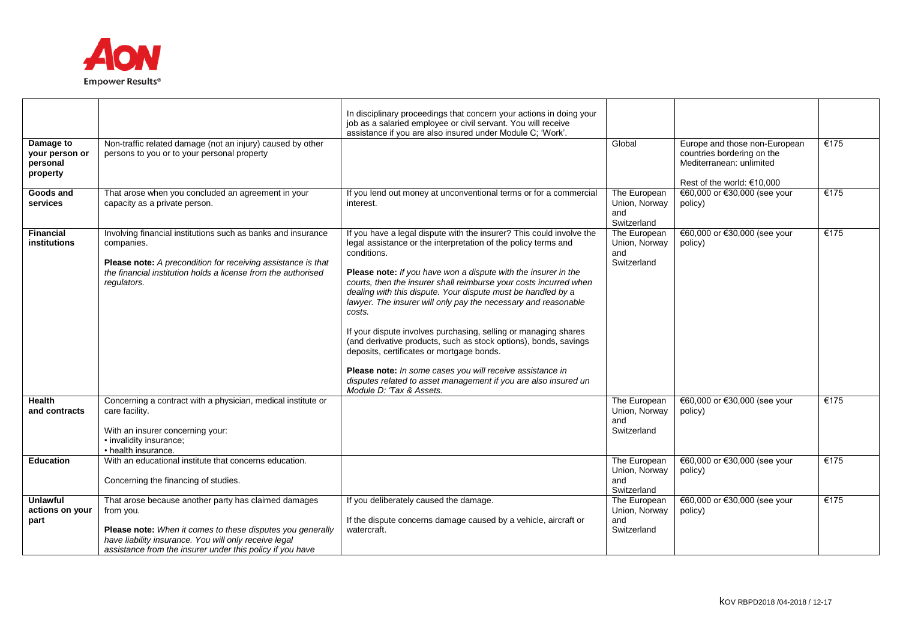

| Damage to<br>your person or                | Non-traffic related damage (not an injury) caused by other<br>persons to you or to your personal property                                                                                                                                             | In disciplinary proceedings that concern your actions in doing your<br>job as a salaried employee or civil servant. You will receive<br>assistance if you are also insured under Module C; 'Work'.                                                                                                                                                                                                                                                                                                                                                                                                                                                                                                                                                                                       | Global                                              | Europe and those non-European<br>countries bordering on the | €175 |
|--------------------------------------------|-------------------------------------------------------------------------------------------------------------------------------------------------------------------------------------------------------------------------------------------------------|------------------------------------------------------------------------------------------------------------------------------------------------------------------------------------------------------------------------------------------------------------------------------------------------------------------------------------------------------------------------------------------------------------------------------------------------------------------------------------------------------------------------------------------------------------------------------------------------------------------------------------------------------------------------------------------------------------------------------------------------------------------------------------------|-----------------------------------------------------|-------------------------------------------------------------|------|
| personal<br>property                       |                                                                                                                                                                                                                                                       |                                                                                                                                                                                                                                                                                                                                                                                                                                                                                                                                                                                                                                                                                                                                                                                          |                                                     | Mediterranean: unlimited<br>Rest of the world: €10.000      |      |
| Goods and<br>services                      | That arose when you concluded an agreement in your<br>capacity as a private person.                                                                                                                                                                   | If you lend out money at unconventional terms or for a commercial<br>interest.                                                                                                                                                                                                                                                                                                                                                                                                                                                                                                                                                                                                                                                                                                           | The European<br>Union, Norway<br>and<br>Switzerland | €60,000 or €30,000 (see your<br>policy)                     | €175 |
| <b>Financial</b><br>institutions           | Involving financial institutions such as banks and insurance<br>companies.<br>Please note: A precondition for receiving assistance is that<br>the financial institution holds a license from the authorised<br>regulators.                            | If you have a legal dispute with the insurer? This could involve the<br>legal assistance or the interpretation of the policy terms and<br>conditions.<br>Please note: If you have won a dispute with the insurer in the<br>courts, then the insurer shall reimburse your costs incurred when<br>dealing with this dispute. Your dispute must be handled by a<br>lawyer. The insurer will only pay the necessary and reasonable<br>costs.<br>If your dispute involves purchasing, selling or managing shares<br>(and derivative products, such as stock options), bonds, savings<br>deposits, certificates or mortgage bonds.<br>Please note: In some cases you will receive assistance in<br>disputes related to asset management if you are also insured un<br>Module D: 'Tax & Assets. | The European<br>Union, Norway<br>and<br>Switzerland | €60,000 or €30,000 (see your<br>policy)                     | €175 |
| <b>Health</b><br>and contracts             | Concerning a contract with a physician, medical institute or<br>care facility.<br>With an insurer concerning your:<br>· invalidity insurance;<br>• health insurance.                                                                                  |                                                                                                                                                                                                                                                                                                                                                                                                                                                                                                                                                                                                                                                                                                                                                                                          | The European<br>Union, Norway<br>and<br>Switzerland | €60,000 or €30,000 (see your<br>policy)                     | €175 |
| <b>Education</b>                           | With an educational institute that concerns education.<br>Concerning the financing of studies.                                                                                                                                                        |                                                                                                                                                                                                                                                                                                                                                                                                                                                                                                                                                                                                                                                                                                                                                                                          | The European<br>Union, Norway<br>and<br>Switzerland | €60,000 or €30,000 (see your<br>policy)                     | €175 |
| <b>Unlawful</b><br>actions on your<br>part | That arose because another party has claimed damages<br>from you.<br>Please note: When it comes to these disputes you generally<br>have liability insurance. You will only receive legal<br>assistance from the insurer under this policy if you have | If you deliberately caused the damage.<br>If the dispute concerns damage caused by a vehicle, aircraft or<br>watercraft.                                                                                                                                                                                                                                                                                                                                                                                                                                                                                                                                                                                                                                                                 | The European<br>Union, Norway<br>and<br>Switzerland | €60,000 or €30,000 (see your<br>policy)                     | €175 |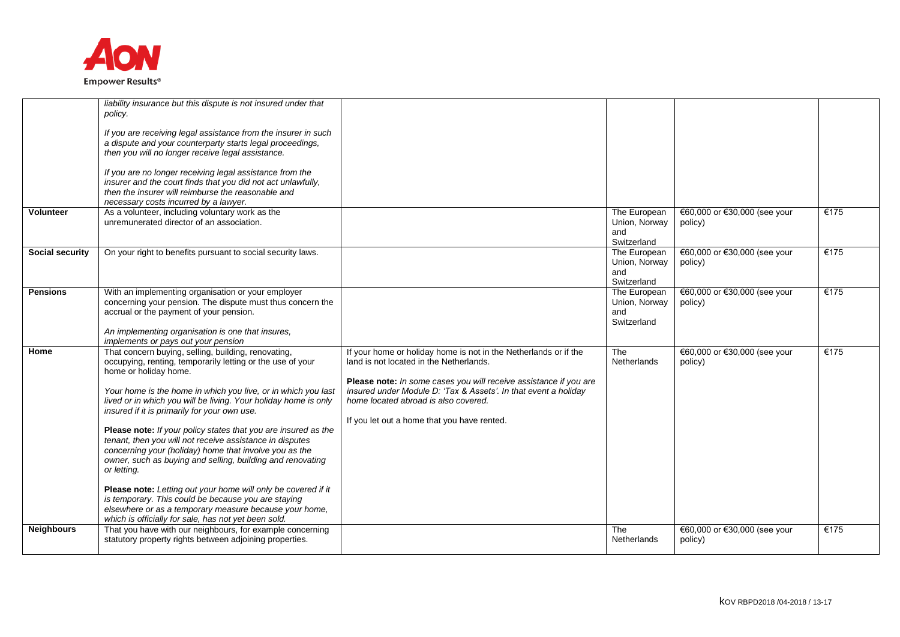

| <b>Volunteer</b><br><b>Social security</b> | liability insurance but this dispute is not insured under that<br>policy.<br>If you are receiving legal assistance from the insurer in such<br>a dispute and your counterparty starts legal proceedings,<br>then you will no longer receive legal assistance.<br>If you are no longer receiving legal assistance from the<br>insurer and the court finds that you did not act unlawfully,<br>then the insurer will reimburse the reasonable and<br>necessary costs incurred by a lawyer.<br>As a volunteer, including voluntary work as the<br>unremunerated director of an association.<br>On your right to benefits pursuant to social security laws.                                                                                                                                                                                       |                                                                                                                                                                                                                                                                                                                                            | The European<br>Union, Norway<br>and<br>Switzerland<br>The European | €60,000 or €30,000 (see your<br>policy)<br>€60,000 or €30,000 (see your | €175<br>€175 |
|--------------------------------------------|-----------------------------------------------------------------------------------------------------------------------------------------------------------------------------------------------------------------------------------------------------------------------------------------------------------------------------------------------------------------------------------------------------------------------------------------------------------------------------------------------------------------------------------------------------------------------------------------------------------------------------------------------------------------------------------------------------------------------------------------------------------------------------------------------------------------------------------------------|--------------------------------------------------------------------------------------------------------------------------------------------------------------------------------------------------------------------------------------------------------------------------------------------------------------------------------------------|---------------------------------------------------------------------|-------------------------------------------------------------------------|--------------|
|                                            |                                                                                                                                                                                                                                                                                                                                                                                                                                                                                                                                                                                                                                                                                                                                                                                                                                               |                                                                                                                                                                                                                                                                                                                                            | Union, Norway<br>and<br>Switzerland                                 | policy)                                                                 |              |
| <b>Pensions</b>                            | With an implementing organisation or your employer<br>concerning your pension. The dispute must thus concern the<br>accrual or the payment of your pension.<br>An implementing organisation is one that insures,<br>implements or pays out your pension                                                                                                                                                                                                                                                                                                                                                                                                                                                                                                                                                                                       |                                                                                                                                                                                                                                                                                                                                            | The European<br>Union, Norway<br>and<br>Switzerland                 | €60,000 or €30,000 (see your<br>policy)                                 | €175         |
| Home                                       | That concern buying, selling, building, renovating,<br>occupying, renting, temporarily letting or the use of your<br>home or holiday home.<br>Your home is the home in which you live, or in which you last<br>lived or in which you will be living. Your holiday home is only<br>insured if it is primarily for your own use.<br>Please note: If your policy states that you are insured as the<br>tenant, then you will not receive assistance in disputes<br>concerning your (holiday) home that involve you as the<br>owner, such as buying and selling, building and renovating<br>or letting.<br>Please note: Letting out your home will only be covered if it<br>is temporary. This could be because you are staying<br>elsewhere or as a temporary measure because your home,<br>which is officially for sale, has not yet been sold. | If your home or holiday home is not in the Netherlands or if the<br>land is not located in the Netherlands.<br>Please note: In some cases you will receive assistance if you are<br>insured under Module D: 'Tax & Assets'. In that event a holiday<br>home located abroad is also covered.<br>If you let out a home that you have rented. | The<br>Netherlands                                                  | €60,000 or €30,000 (see your<br>policy)                                 | €175         |
| <b>Neighbours</b>                          | That you have with our neighbours, for example concerning<br>statutory property rights between adjoining properties.                                                                                                                                                                                                                                                                                                                                                                                                                                                                                                                                                                                                                                                                                                                          |                                                                                                                                                                                                                                                                                                                                            | The<br>Netherlands                                                  | €60,000 or €30,000 (see your<br>policy)                                 | €175         |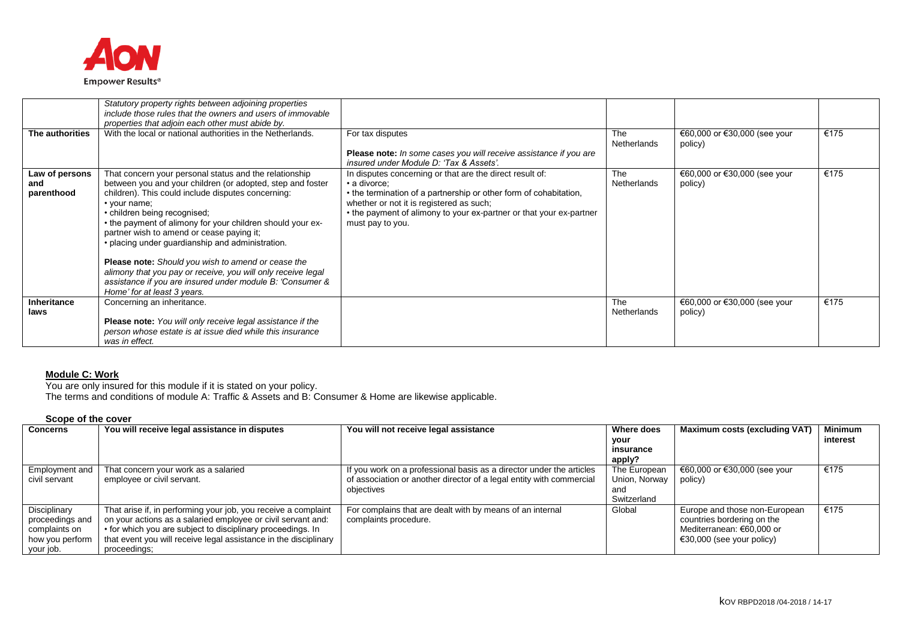

| The authorities                     | Statutory property rights between adjoining properties<br>include those rules that the owners and users of immovable<br>properties that adjoin each other must abide by.<br>With the local or national authorities in the Netherlands.                                                                                                                                                                                                                                                                                                                                                                             | For tax disputes<br>Please note: In some cases you will receive assistance if you are<br>insured under Module D: 'Tax & Assets'.                                                                                                                                                     | The<br><b>Netherlands</b> | €60,000 or €30,000 (see your<br>policy) | €175 |
|-------------------------------------|--------------------------------------------------------------------------------------------------------------------------------------------------------------------------------------------------------------------------------------------------------------------------------------------------------------------------------------------------------------------------------------------------------------------------------------------------------------------------------------------------------------------------------------------------------------------------------------------------------------------|--------------------------------------------------------------------------------------------------------------------------------------------------------------------------------------------------------------------------------------------------------------------------------------|---------------------------|-----------------------------------------|------|
| Law of persons<br>and<br>parenthood | That concern your personal status and the relationship<br>between you and your children (or adopted, step and foster<br>children). This could include disputes concerning:<br>• your name;<br>• children being recognised;<br>• the payment of alimony for your children should your ex-<br>partner wish to amend or cease paying it;<br>• placing under guardianship and administration.<br><b>Please note:</b> Should you wish to amend or cease the<br>alimony that you pay or receive, you will only receive legal<br>assistance if you are insured under module B: 'Consumer &<br>Home' for at least 3 years. | In disputes concerning or that are the direct result of:<br>• a divorce:<br>• the termination of a partnership or other form of cohabitation,<br>whether or not it is registered as such;<br>• the payment of alimony to your ex-partner or that your ex-partner<br>must pay to you. | The<br><b>Netherlands</b> | €60,000 or €30,000 (see your<br>policy) | €175 |
| <b>Inheritance</b><br>laws          | Concerning an inheritance.<br><b>Please note:</b> You will only receive legal assistance if the<br>person whose estate is at issue died while this insurance<br>was in effect.                                                                                                                                                                                                                                                                                                                                                                                                                                     |                                                                                                                                                                                                                                                                                      | The<br><b>Netherlands</b> | €60,000 or €30,000 (see your<br>policy) | €175 |

#### **Module C: Work**

You are only insured for this module if it is stated on your policy.

The terms and conditions of module A: Traffic & Assets and B: Consumer & Home are likewise applicable.

| <b>Concerns</b> | You will receive legal assistance in disputes                    | You will not receive legal assistance                                | Where does    | <b>Maximum costs (excluding VAT)</b> | <b>Minimum</b> |
|-----------------|------------------------------------------------------------------|----------------------------------------------------------------------|---------------|--------------------------------------|----------------|
|                 |                                                                  |                                                                      | your          |                                      | interest       |
|                 |                                                                  |                                                                      | insurance     |                                      |                |
|                 |                                                                  |                                                                      | apply?        |                                      |                |
| Employment and  | That concern your work as a salaried                             | If you work on a professional basis as a director under the articles | The European  | €60,000 or €30,000 (see your         | €175           |
| civil servant   | employee or civil servant.                                       | of association or another director of a legal entity with commercial | Union, Norway | policy)                              |                |
|                 |                                                                  | objectives                                                           | and           |                                      |                |
|                 |                                                                  |                                                                      | Switzerland   |                                      |                |
| Disciplinary    | That arise if, in performing your job, you receive a complaint   | For complains that are dealt with by means of an internal            | Global        | Europe and those non-European        | €175           |
| proceedings and | on your actions as a salaried employee or civil servant and:     | complaints procedure.                                                |               | countries bordering on the           |                |
| complaints on   | • for which you are subject to disciplinary proceedings. In      |                                                                      |               | Mediterranean: €60,000 or            |                |
| how you perform | that event you will receive legal assistance in the disciplinary |                                                                      |               | $\epsilon$ 30,000 (see your policy)  |                |
| your job.       | proceedings;                                                     |                                                                      |               |                                      |                |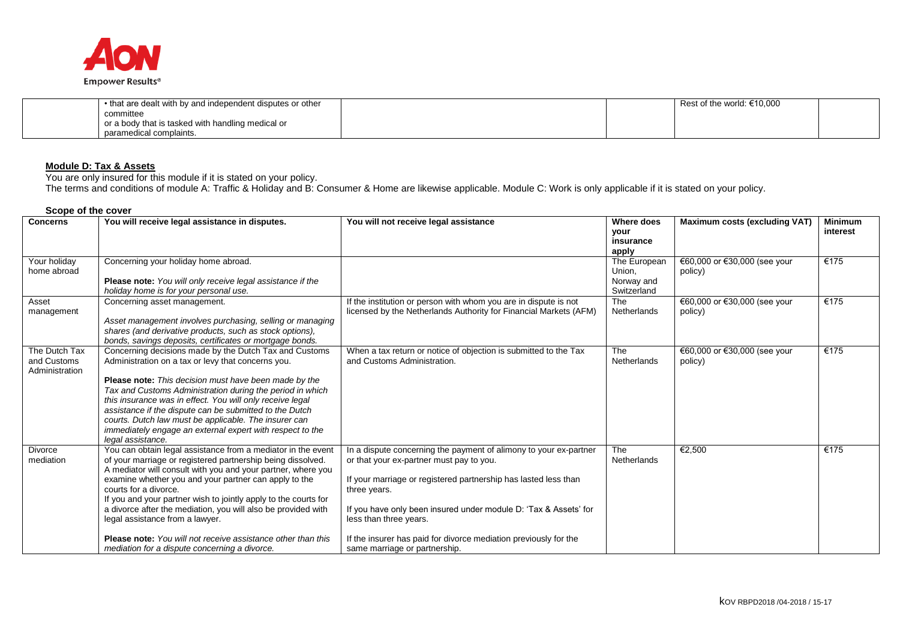

| • that are dealt with by and independent disputes or other |  | Rest of the world: $€10,000$ |  |
|------------------------------------------------------------|--|------------------------------|--|
| committee                                                  |  |                              |  |
| or a body that is tasked with handling medical or          |  |                              |  |
| paramedical complaints.                                    |  |                              |  |

# **Module D: Tax & Assets**

You are only insured for this module if it is stated on your policy.

The terms and conditions of module A: Traffic & Holiday and B: Consumer & Home are likewise applicable. Module C: Work is only applicable if it is stated on your policy.

| <b>Concerns</b>                                | You will receive legal assistance in disputes.                                                                                                                                                                                                                                                                                                                                                                                                                                                                                                                               | You will not receive legal assistance                                                                                                                                                                                                                                                                                                                                                               | <b>Where does</b><br><b>your</b><br>insurance<br>apply | <b>Maximum costs (excluding VAT)</b>    | <b>Minimum</b><br>interest |
|------------------------------------------------|------------------------------------------------------------------------------------------------------------------------------------------------------------------------------------------------------------------------------------------------------------------------------------------------------------------------------------------------------------------------------------------------------------------------------------------------------------------------------------------------------------------------------------------------------------------------------|-----------------------------------------------------------------------------------------------------------------------------------------------------------------------------------------------------------------------------------------------------------------------------------------------------------------------------------------------------------------------------------------------------|--------------------------------------------------------|-----------------------------------------|----------------------------|
| Your holiday<br>home abroad                    | Concerning your holiday home abroad.<br>Please note: You will only receive legal assistance if the<br>holiday home is for your personal use.                                                                                                                                                                                                                                                                                                                                                                                                                                 |                                                                                                                                                                                                                                                                                                                                                                                                     | The European<br>Union,<br>Norway and<br>Switzerland    | €60,000 or €30,000 (see your<br>policy) | €175                       |
| Asset<br>management                            | Concerning asset management.<br>Asset management involves purchasing, selling or managing<br>shares (and derivative products, such as stock options),<br>bonds, savings deposits, certificates or mortgage bonds.                                                                                                                                                                                                                                                                                                                                                            | If the institution or person with whom you are in dispute is not<br>licensed by the Netherlands Authority for Financial Markets (AFM)                                                                                                                                                                                                                                                               | The<br><b>Netherlands</b>                              | €60,000 or €30,000 (see your<br>policy) | €175                       |
| The Dutch Tax<br>and Customs<br>Administration | Concerning decisions made by the Dutch Tax and Customs<br>Administration on a tax or levy that concerns you.<br><b>Please note:</b> This decision must have been made by the<br>Tax and Customs Administration during the period in which<br>this insurance was in effect. You will only receive legal<br>assistance if the dispute can be submitted to the Dutch<br>courts. Dutch law must be applicable. The insurer can<br>immediately engage an external expert with respect to the<br>legal assistance.                                                                 | When a tax return or notice of objection is submitted to the Tax<br>and Customs Administration.                                                                                                                                                                                                                                                                                                     | The<br><b>Netherlands</b>                              | €60,000 or €30,000 (see your<br>policy) | €175                       |
| <b>Divorce</b><br>mediation                    | You can obtain legal assistance from a mediator in the event<br>of your marriage or registered partnership being dissolved.<br>A mediator will consult with you and your partner, where you<br>examine whether you and your partner can apply to the<br>courts for a divorce.<br>If you and your partner wish to jointly apply to the courts for<br>a divorce after the mediation, you will also be provided with<br>legal assistance from a lawyer.<br><b>Please note:</b> You will not receive assistance other than this<br>mediation for a dispute concerning a divorce. | In a dispute concerning the payment of alimony to your ex-partner<br>or that your ex-partner must pay to you.<br>If your marriage or registered partnership has lasted less than<br>three years.<br>If you have only been insured under module D: 'Tax & Assets' for<br>less than three years.<br>If the insurer has paid for divorce mediation previously for the<br>same marriage or partnership. | The<br><b>Netherlands</b>                              | €2,500                                  | €175                       |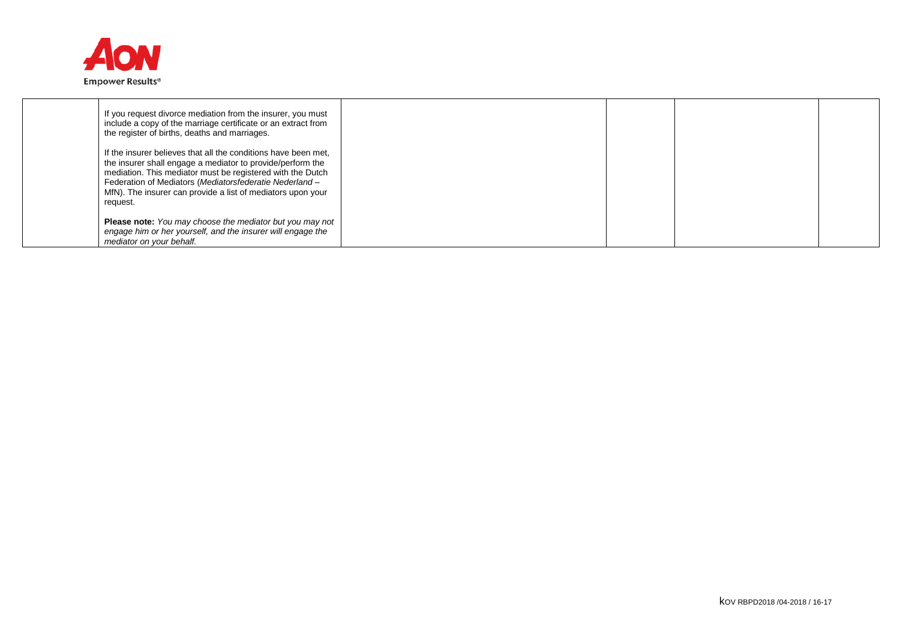

| If you request divorce mediation from the insurer, you must<br>include a copy of the marriage certificate or an extract from<br>the register of births, deaths and marriages.                                                                                                                                                    |  |  |
|----------------------------------------------------------------------------------------------------------------------------------------------------------------------------------------------------------------------------------------------------------------------------------------------------------------------------------|--|--|
| If the insurer believes that all the conditions have been met,<br>the insurer shall engage a mediator to provide/perform the<br>mediation. This mediator must be registered with the Dutch<br>Federation of Mediators (Mediatorsfederatie Nederland -<br>MfN). The insurer can provide a list of mediators upon your<br>request. |  |  |
| <b>Please note:</b> You may choose the mediator but you may not<br>engage him or her yourself, and the insurer will engage the<br>mediator on your behalf.                                                                                                                                                                       |  |  |